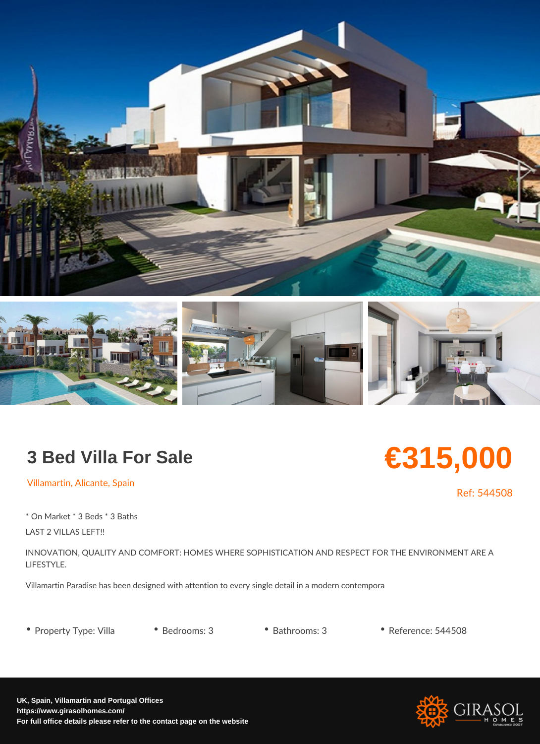## 3 Bed Villa For Sale

Villamartin, Alicante, Spain

\* On Market \* 3 Beds \* 3 Baths LAST 2 VILLAS LEFT!!

INNOVATION, QUALITY AND COMFORT: HOMES WHERE SOPHISTICATION AND RESPECT LIFESTYLE.

Villamartin Paradise has been designed with attention to every single detail in a moderi

• Property Type: VilleBedrooms: 3 • Bathrooms: 3 • Reference: 544508

€315,000